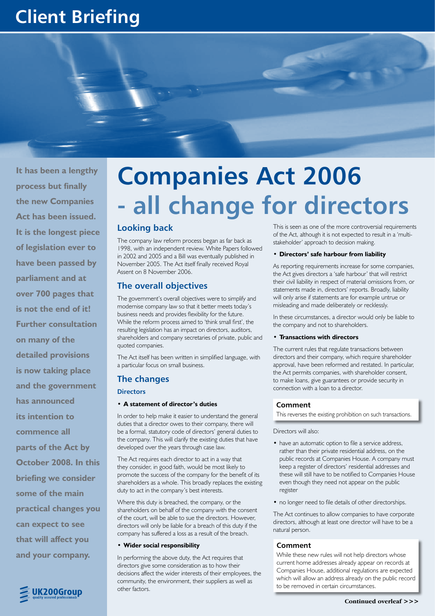# **Client Briefing**



**It has been a lengthy process but finally the new Companies Act has been issued. It is the longest piece of legislation ever to have been passed by parliament and at over 700 pages that is not the end of it! Further consultation on many of the detailed provisions is now taking place and the government has announced its intention to commence all parts of the Act by October 2008. In this briefing we consider some of the main practical changes you can expect to see that will affect you and your company.**

# **Companies Act 2006 - all change for directors**

# **Looking back**

The company law reform process began as far back as 1998, with an independent review. White Papers followed in 2002 and 2005 and a Bill was eventually published in November 2005. The Act itself finally received Royal Assent on 8 November 2006.

# **The overall objectives**

The government's overall objectives were to simplify and modernise company law so that it better meets today's business needs and provides flexibility for the future. While the reform process aimed to 'think small first', the resulting legislation has an impact on directors, auditors, shareholders and company secretaries of private, public and quoted companies.

The Act itself has been written in simplified language, with a particular focus on small business.

# **The changes**

#### **Directors**

#### **A statement of director's duties •**

In order to help make it easier to understand the general duties that a director owes to their company, there will be a formal, statutory code of directors' general duties to the company. This will clarify the existing duties that have developed over the years through case law.

The Act requires each director to act in a way that they consider, in good faith, would be most likely to promote the success of the company for the benefit of its shareholders as a whole. This broadly replaces the existing duty to act in the company's best interests.

Where this duty is breached, the company, or the shareholders on behalf of the company with the consent of the court, will be able to sue the directors. However, directors will only be liable for a breach of this duty if the company has suffered a loss as a result of the breach.

#### **Wider social responsibility •**

In performing the above duty, the Act requires that directors give some consideration as to how their decisions affect the wider interests of their employees, the community, the environment, their suppliers as well as other factors.

This is seen as one of the more controversial requirements of the Act, although it is not expected to result in a 'multistakeholder' approach to decision making.

#### **Directors' safe harbour from liability •**

As reporting requirements increase for some companies, the Act gives directors a 'safe harbour' that will restrict their civil liability in respect of material omissions from, or statements made in, directors' reports. Broadly, liability will only arise if statements are for example untrue or misleading and made deliberately or recklessly.

In these circumstances, a director would only be liable to the company and not to shareholders.

#### **Transactions with directors •**

The current rules that regulate transactions between directors and their company, which require shareholder approval, have been reformed and restated. In particular, the Act permits companies, with shareholder consent, to make loans, give guarantees or provide security in connection with a loan to a director.

## **Comment**

This reverses the existing prohibition on such transactions.

#### Directors will also:

- have an automatic option to file a service address, rather than their private residential address, on the public records at Companies House. A company must keep a register of directors' residential addresses and these will still have to be notified to Companies House even though they need not appear on the public register
- no longer need to file details of other directorships.

The Act continues to allow companies to have corporate directors, although at least one director will have to be a natural person.

## **Comment**

While these new rules will not help directors whose current home addresses already appear on records at Companies House, additional regulations are expected which will allow an address already on the public record to be removed in certain circumstances.